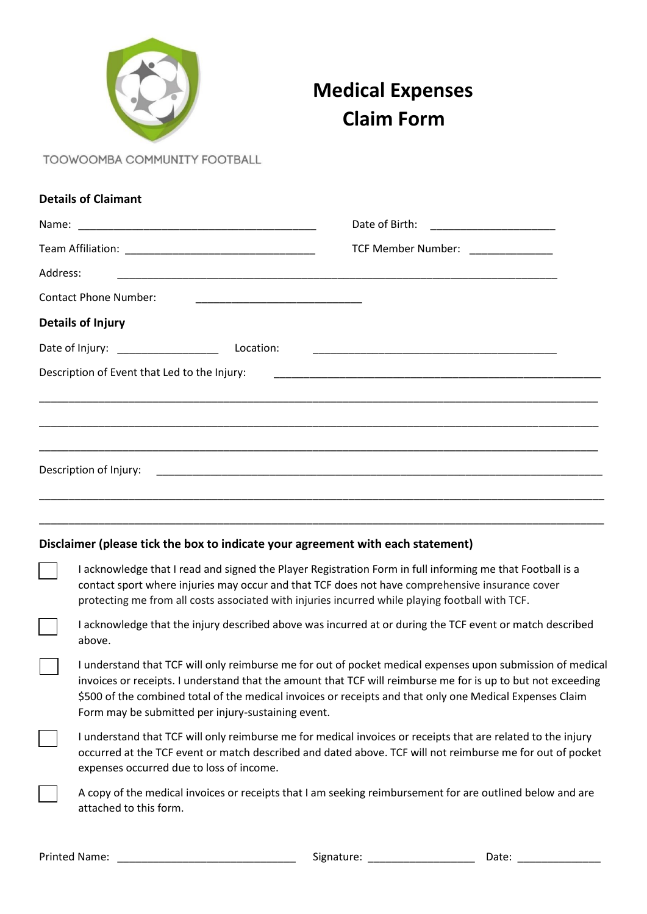

## **Medical Expenses Claim Form**

TOOWOOMBA COMMUNITY FOOTBALL

|          | <b>Details of Claimant</b>                                                                                                                                                                                                                                                                                      |                                                                                                                                   |
|----------|-----------------------------------------------------------------------------------------------------------------------------------------------------------------------------------------------------------------------------------------------------------------------------------------------------------------|-----------------------------------------------------------------------------------------------------------------------------------|
|          |                                                                                                                                                                                                                                                                                                                 |                                                                                                                                   |
|          |                                                                                                                                                                                                                                                                                                                 | TCF Member Number: ______________                                                                                                 |
| Address: |                                                                                                                                                                                                                                                                                                                 |                                                                                                                                   |
|          | <b>Contact Phone Number:</b>                                                                                                                                                                                                                                                                                    |                                                                                                                                   |
|          | <b>Details of Injury</b>                                                                                                                                                                                                                                                                                        |                                                                                                                                   |
|          | Date of Injury: _________________                                                                                                                                                                                                                                                                               | Location:<br><u> 1999 - Johann John Harry Harry Harry Harry Harry Harry Harry Harry Harry Harry Harry Harry Harry Harry Harry</u> |
|          | Description of Event that Led to the Injury:                                                                                                                                                                                                                                                                    | <u> 1989 - Johann John Stoff, deutscher Stoffen und der Stoffen und der Stoffen und der Stoffen und der Stoffen</u>               |
|          |                                                                                                                                                                                                                                                                                                                 |                                                                                                                                   |
|          |                                                                                                                                                                                                                                                                                                                 |                                                                                                                                   |
|          |                                                                                                                                                                                                                                                                                                                 |                                                                                                                                   |
|          | Description of Injury:                                                                                                                                                                                                                                                                                          |                                                                                                                                   |
|          |                                                                                                                                                                                                                                                                                                                 |                                                                                                                                   |
|          |                                                                                                                                                                                                                                                                                                                 |                                                                                                                                   |
|          |                                                                                                                                                                                                                                                                                                                 | Disclaimer (please tick the box to indicate your agreement with each statement)                                                   |
|          | I acknowledge that I read and signed the Player Registration Form in full informing me that Football is a<br>contact sport where injuries may occur and that TCF does not have comprehensive insurance cover<br>protecting me from all costs associated with injuries incurred while playing football with TCF. |                                                                                                                                   |
|          | above.                                                                                                                                                                                                                                                                                                          | I acknowledge that the injury described above was incurred at or during the TCF event or match described                          |

I understand that TCF will only reimburse me for out of pocket medical expenses upon submission of medical invoices or receipts. I understand that the amount that TCF will reimburse me for is up to but not exceeding \$500 of the combined total of the medical invoices or receipts and that only one Medical Expenses Claim Form may be submitted per injury-sustaining event.

I understand that TCF will only reimburse me for medical invoices or receipts that are related to the injury occurred at the TCF event or match described and dated above. TCF will not reimburse me for out of pocket expenses occurred due to loss of income.

A copy of the medical invoices or receipts that I am seeking reimbursement for are outlined below and are attached to this form.

Printed Name: \_\_\_\_\_\_\_\_\_\_\_\_\_\_\_\_\_\_\_\_\_\_\_\_\_\_\_\_\_\_ Signature: \_\_\_\_\_\_\_\_\_\_\_\_\_\_\_\_\_\_ Date: \_\_\_\_\_\_\_\_\_\_\_\_\_\_